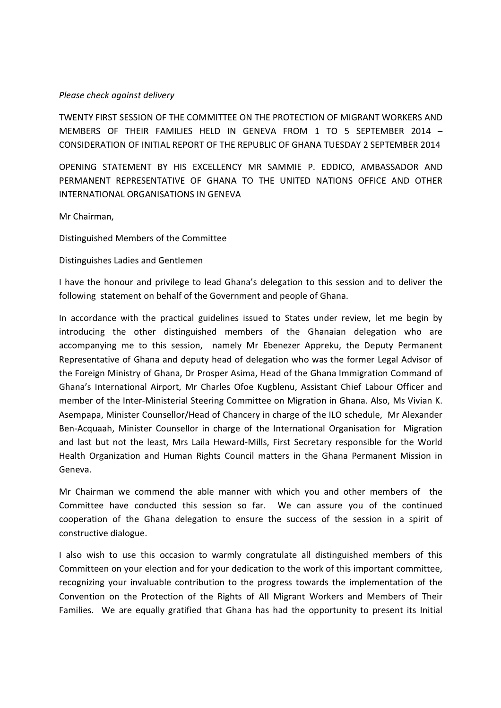## Please check against delivery

TWENTY FIRST SESSION OF THE COMMITTEE ON THE PROTECTION OF MIGRANT WORKERS AND MEMBERS OF THEIR FAMILIES HELD IN GENEVA FROM 1 TO 5 SEPTEMBER 2014 – CONSIDERATION OF INITIAL REPORT OF THE REPUBLIC OF GHANA TUESDAY 2 SEPTEMBER 2014

OPENING STATEMENT BY HIS EXCELLENCY MR SAMMIE P. EDDICO, AMBASSADOR AND PERMANENT REPRESENTATIVE OF GHANA TO THE UNITED NATIONS OFFICE AND OTHER INTERNATIONAL ORGANISATIONS IN GENEVA

Mr Chairman,

Distinguished Members of the Committee

## Distinguishes Ladies and Gentlemen

I have the honour and privilege to lead Ghana's delegation to this session and to deliver the following statement on behalf of the Government and people of Ghana.

In accordance with the practical guidelines issued to States under review, let me begin by introducing the other distinguished members of the Ghanaian delegation who are accompanying me to this session, namely Mr Ebenezer Appreku, the Deputy Permanent Representative of Ghana and deputy head of delegation who was the former Legal Advisor of the Foreign Ministry of Ghana, Dr Prosper Asima, Head of the Ghana Immigration Command of Ghana's International Airport, Mr Charles Ofoe Kugblenu, Assistant Chief Labour Officer and member of the Inter-Ministerial Steering Committee on Migration in Ghana. Also, Ms Vivian K. Asempapa, Minister Counsellor/Head of Chancery in charge of the ILO schedule, Mr Alexander Ben-Acquaah, Minister Counsellor in charge of the International Organisation for Migration and last but not the least, Mrs Laila Heward-Mills, First Secretary responsible for the World Health Organization and Human Rights Council matters in the Ghana Permanent Mission in Geneva.

Mr Chairman we commend the able manner with which you and other members of the Committee have conducted this session so far. We can assure you of the continued cooperation of the Ghana delegation to ensure the success of the session in a spirit of constructive dialogue.

I also wish to use this occasion to warmly congratulate all distinguished members of this Committeen on your election and for your dedication to the work of this important committee, recognizing your invaluable contribution to the progress towards the implementation of the Convention on the Protection of the Rights of All Migrant Workers and Members of Their Families. We are equally gratified that Ghana has had the opportunity to present its Initial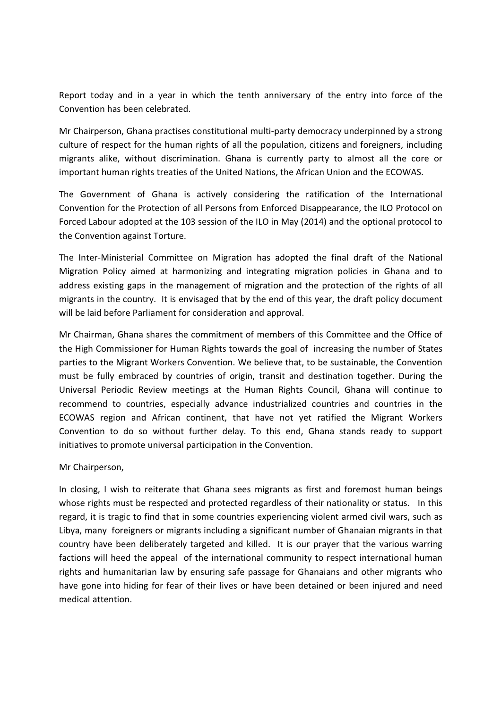Report today and in a year in which the tenth anniversary of the entry into force of the Convention has been celebrated.

Mr Chairperson, Ghana practises constitutional multi-party democracy underpinned by a strong culture of respect for the human rights of all the population, citizens and foreigners, including migrants alike, without discrimination. Ghana is currently party to almost all the core or important human rights treaties of the United Nations, the African Union and the ECOWAS.

The Government of Ghana is actively considering the ratification of the International Convention for the Protection of all Persons from Enforced Disappearance, the ILO Protocol on Forced Labour adopted at the 103 session of the ILO in May (2014) and the optional protocol to the Convention against Torture.

The Inter-Ministerial Committee on Migration has adopted the final draft of the National Migration Policy aimed at harmonizing and integrating migration policies in Ghana and to address existing gaps in the management of migration and the protection of the rights of all migrants in the country. It is envisaged that by the end of this year, the draft policy document will be laid before Parliament for consideration and approval.

Mr Chairman, Ghana shares the commitment of members of this Committee and the Office of the High Commissioner for Human Rights towards the goal of increasing the number of States parties to the Migrant Workers Convention. We believe that, to be sustainable, the Convention must be fully embraced by countries of origin, transit and destination together. During the Universal Periodic Review meetings at the Human Rights Council, Ghana will continue to recommend to countries, especially advance industrialized countries and countries in the ECOWAS region and African continent, that have not yet ratified the Migrant Workers Convention to do so without further delay. To this end, Ghana stands ready to support initiatives to promote universal participation in the Convention.

Mr Chairperson,

In closing, I wish to reiterate that Ghana sees migrants as first and foremost human beings whose rights must be respected and protected regardless of their nationality or status. In this regard, it is tragic to find that in some countries experiencing violent armed civil wars, such as Libya, many foreigners or migrants including a significant number of Ghanaian migrants in that country have been deliberately targeted and killed. It is our prayer that the various warring factions will heed the appeal of the international community to respect international human rights and humanitarian law by ensuring safe passage for Ghanaians and other migrants who have gone into hiding for fear of their lives or have been detained or been injured and need medical attention.